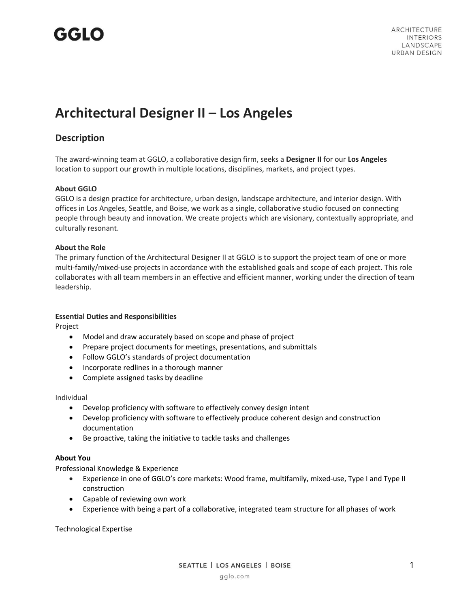## GGLO

### **Architectural Designer II – Los Angeles**

### **Description**

The award-winning team at GGLO, a collaborative design firm, seeks a **Designer II** for our **Los Angeles** location to support our growth in multiple locations, disciplines, markets, and project types.

#### **About GGLO**

GGLO is a design practice for architecture, urban design, landscape architecture, and interior design. With offices in Los Angeles, Seattle, and Boise, we work as a single, collaborative studio focused on connecting people through beauty and innovation. We create projects which are visionary, contextually appropriate, and culturally resonant.

#### **About the Role**

The primary function of the Architectural Designer II at GGLO is to support the project team of one or more multi-family/mixed-use projects in accordance with the established goals and scope of each project. This role collaborates with all team members in an effective and efficient manner, working under the direction of team leadership.

#### **Essential Duties and Responsibilities**

Project

- Model and draw accurately based on scope and phase of project
- Prepare project documents for meetings, presentations, and submittals
- Follow GGLO's standards of project documentation
- Incorporate redlines in a thorough manner
- Complete assigned tasks by deadline

#### Individual

- Develop proficiency with software to effectively convey design intent
- Develop proficiency with software to effectively produce coherent design and construction documentation
- Be proactive, taking the initiative to tackle tasks and challenges

#### **About You**

Professional Knowledge & Experience

- Experience in one of GGLO's core markets: Wood frame, multifamily, mixed-use, Type I and Type II construction
- Capable of reviewing own work
- Experience with being a part of a collaborative, integrated team structure for all phases of work

Technological Expertise